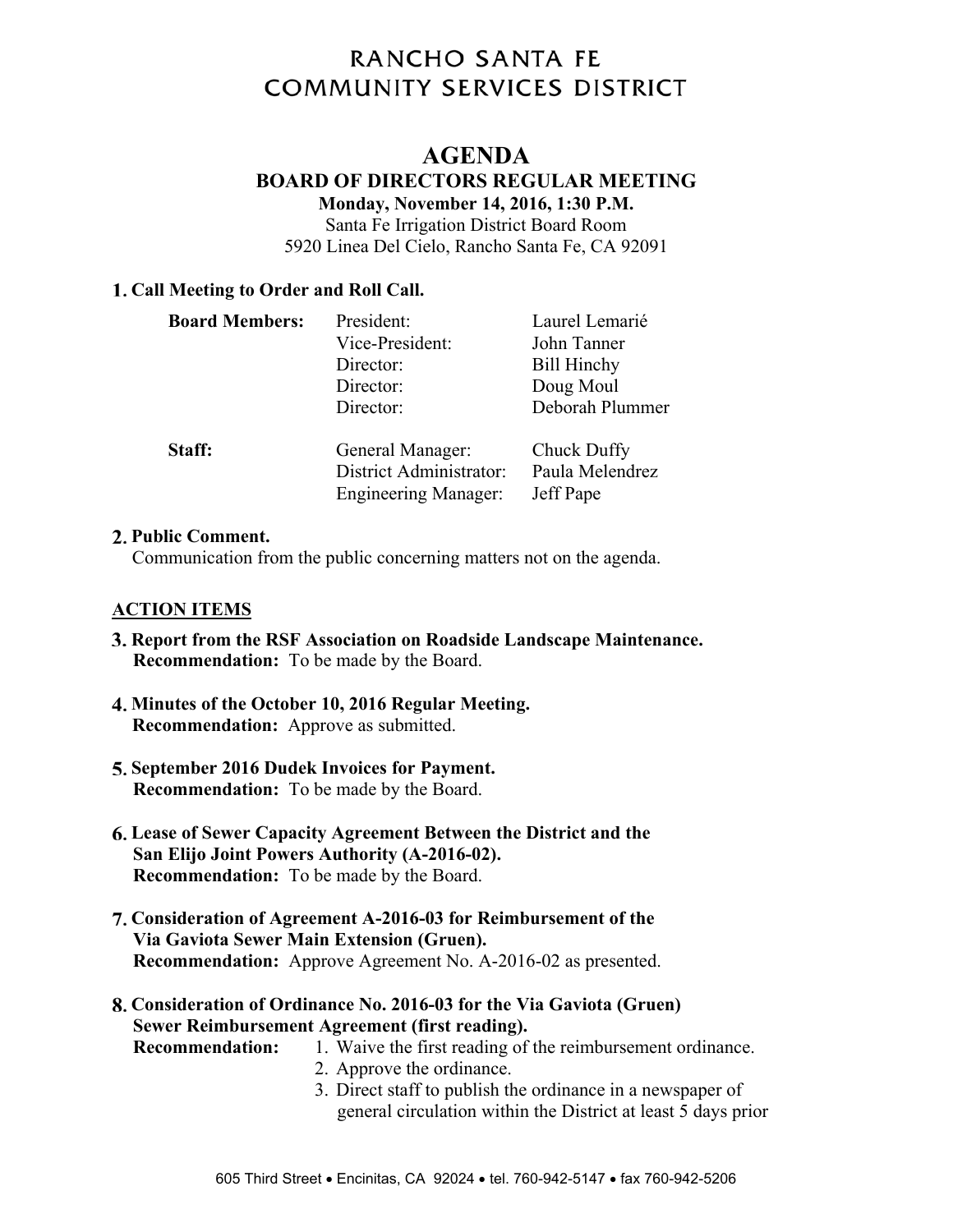# RANCHO SANTA FE **COMMUNITY SERVICES DISTRICT**

# **AGENDA**

# **BOARD OF DIRECTORS REGULAR MEETING**

**Monday, November 14, 2016, 1:30 P.M.** 

Santa Fe Irrigation District Board Room

5920 Linea Del Cielo, Rancho Santa Fe, CA 92091

# **Call Meeting to Order and Roll Call.**

| <b>Board Members:</b> | President:<br>Vice-President:<br>Director:<br>Director:<br>Director:       | Laurel Lemarié<br>John Tanner<br><b>Bill Hinchy</b><br>Doug Moul<br>Deborah Plummer |
|-----------------------|----------------------------------------------------------------------------|-------------------------------------------------------------------------------------|
| Staff:                | General Manager:<br>District Administrator:<br><b>Engineering Manager:</b> | Chuck Duffy<br>Paula Melendrez<br>Jeff Pape                                         |

#### **Public Comment.**

Communication from the public concerning matters not on the agenda.

# **ACTION ITEMS**

- **Report from the RSF Association on Roadside Landscape Maintenance. Recommendation:** To be made by the Board.
- **Minutes of the October 10, 2016 Regular Meeting. Recommendation:** Approve as submitted.
- **September 2016 Dudek Invoices for Payment. Recommendation:** To be made by the Board.
- **Lease of Sewer Capacity Agreement Between the District and the San Elijo Joint Powers Authority (A-2016-02). Recommendation:** To be made by the Board.
- **Consideration of Agreement A-2016-03 for Reimbursement of the Via Gaviota Sewer Main Extension (Gruen). Recommendation:** Approve Agreement No. A-2016-02 as presented.
- **Consideration of Ordinance No. 2016-03 for the Via Gaviota (Gruen) Sewer Reimbursement Agreement (first reading).**

- **Recommendation:** 1. Waive the first reading of the reimbursement ordinance.
	- 2. Approve the ordinance.
		- 3. Direct staff to publish the ordinance in a newspaper of general circulation within the District at least 5 days prior